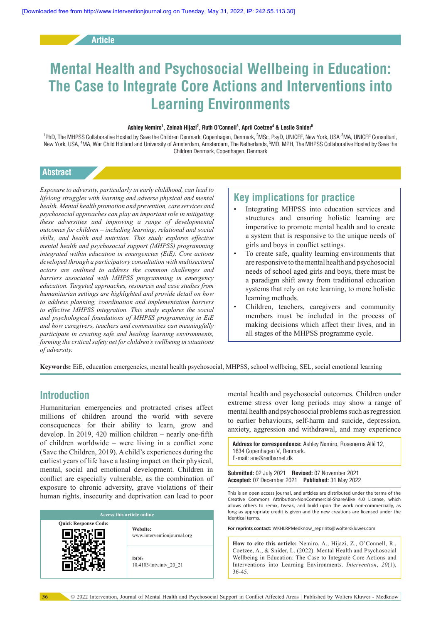**Article**

# **Mental Health and Psychosocial Wellbeing in Education: The Case to Integrate Core Actions and Interventions into Learning Environments**

#### **Ashley Nemiro1 , Zeinab Hijazi2 , Ruth O'Connell3 , April Coetzee4 & Leslie Snider5**

<sup>1</sup>PhD, The MHPSS Collaborative Hosted by Save the Children Denmark, Copenhagen, Denmark, <sup>2</sup>MSc, PsyD, UNICEF, New York, USA<sup>, 3</sup>MA, UNICEF Consultant, New York, USA, <sup>4</sup>MA, War Child Holland and University of Amsterdam, Amsterdam, The Netherlands, <sup>5</sup>MD, MPH, The MHPSS Collaborative Hosted by Save the Children Denmark, Copenhagen, Denmark

#### **Abstract**

*Exposure to adversity, particularly in early childhood, can lead to lifelong struggles with learning and adverse physical and mental health. Mental health promotion and prevention, care services and psychosocial approaches can play an important role in mitigating these adversities and improving a range of developmental outcomes for children – including learning, relational and social skills, and health and nutrition. This study explores effective mental health and psychosocial support (MHPSS) programming integrated within education in emergencies (EiE). Core actions developed through a participatory consultation with multisectoral actors are outlined to address the common challenges and barriers associated with MHPSS programming in emergency education. Targeted approaches, resources and case studies from humanitarian settings are highlighted and provide detail on how to address planning, coordination and implementation barriers to effective MHPSS integration. This study explores the social and psychological foundations of MHPSS programming in EiE and how caregivers, teachers and communities can meaningfully participate in creating safe and healing learning environments, forming the critical safety net for children's wellbeing in situations of adversity.*

# **Key implications for practice**

- Integrating MHPSS into education services and structures and ensuring holistic learning are imperative to promote mental health and to create a system that is responsive to the unique needs of girls and boys in conflict settings.
- To create safe, quality learning environments that are responsive to the mental health and psychosocial needs of school aged girls and boys, there must be a paradigm shift away from traditional education systems that rely on rote learning, to more holistic learning methods.
- Children, teachers, caregivers and community members must be included in the process of making decisions which affect their lives, and in all stages of the MHPSS programme cycle.

**Keywords:** EiE, education emergencies, mental health psychosocial, MHPSS, school wellbeing, SEL, social emotional learning

# **Introduction**

Humanitarian emergencies and protracted crises affect millions of children around the world with severe consequences for their ability to learn, grow and develop. In 2019, 420 million children – nearly one-fifth of children worldwide – were living in a conflict zone (Save the Children, 2019). A child's experiences during the earliest years of life have a lasting impact on their physical, mental, social and emotional development. Children in conflict are especially vulnerable, as the combination of exposure to chronic adversity, grave violations of their human rights, insecurity and deprivation can lead to poor

| <b>Access this article online</b> |                                         |
|-----------------------------------|-----------------------------------------|
| <b>Quick Response Code:</b>       | Website:<br>www.interventionjournal.org |
|                                   | DOI:<br>10.4103/intv.intv 20 21         |

mental health and psychosocial outcomes. Children under extreme stress over long periods may show a range of mental health and psychosocial problems such as regression to earlier behaviours, self-harm and suicide, depression, anxiety, aggression and withdrawal, and may experience

**Address for correspondence:** Ashley Nemiro, Rosenørns Allé 12, 1634 Conenhagen V, Denmark. E-mail: ane@redbarnet.dk

**Submitted:** 02 July 2021 **Revised:** 07 November 2021 **Accepted:** 07 December 2021 **Published:** 31 May 2022

This is an open access journal, and articles are distributed under the terms of the Creative Commons Attribution-NonCommercial-ShareAlike 4.0 License, which allows others to remix, tweak, and build upon the work non-commercially, as long as appropriate credit is given and the new creations are licensed under the identical terms.

**For reprints contact:** WKHLRPMedknow\_reprints@wolterskluwer.com

**How to cite this article:** Nemiro, A., Hijazi, Z., O'Connell, R., Coetzee, A., & Snider, L. (2022). Mental Health and Psychosocial Wellbeing in Education: The Case to Integrate Core Actions and Interventions into Learning Environments. *Intervention*, *20*(1), 36-45.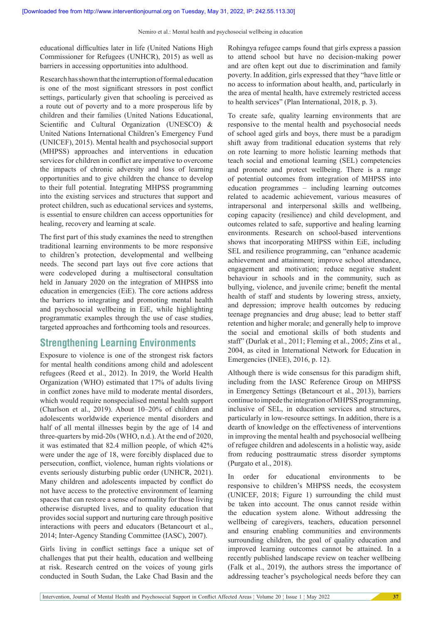educational difficulties later in life (United Nations High Commissioner for Refugees (UNHCR), 2015) as well as barriers in accessing opportunities into adulthood.

Research has shown that the interruption of formal education is one of the most significant stressors in post conflict settings, particularly given that schooling is perceived as a route out of poverty and to a more prosperous life by children and their families (United Nations Educational, Scientific and Cultural Organization (UNESCO) & United Nations International Children's Emergency Fund (UNICEF), 2015). Mental health and psychosocial support (MHPSS) approaches and interventions in education services for children in conflict are imperative to overcome the impacts of chronic adversity and loss of learning opportunities and to give children the chance to develop to their full potential. Integrating MHPSS programming into the existing services and structures that support and protect children, such as educational services and systems, is essential to ensure children can access opportunities for healing, recovery and learning at scale.

The first part of this study examines the need to strengthen traditional learning environments to be more responsive to children's protection, developmental and wellbeing needs. The second part lays out five core actions that were codeveloped during a multisectoral consultation held in January 2020 on the integration of MHPSS into education in emergencies (EiE). The core actions address the barriers to integrating and promoting mental health and psychosocial wellbeing in EiE, while highlighting programmatic examples through the use of case studies, targeted approaches and forthcoming tools and resources.

# **Strengthening Learning Environments**

Exposure to violence is one of the strongest risk factors for mental health conditions among child and adolescent refugees (Reed et al., 2012). In 2019, the World Health Organization (WHO) estimated that 17% of adults living in conflict zones have mild to moderate mental disorders, which would require nonspecialised mental health support (Charlson et al., 2019). About 10–20% of children and adolescents worldwide experience mental disorders and half of all mental illnesses begin by the age of 14 and three-quarters by mid-20s (WHO, n.d.). At the end of 2020, it was estimated that 82.4 million people, of which 42% were under the age of 18, were forcibly displaced due to persecution, conflict, violence, human rights violations or events seriously disturbing public order (UNHCR, 2021). Many children and adolescents impacted by conflict do not have access to the protective environment of learning spaces that can restore a sense of normality for those living otherwise disrupted lives, and to quality education that provides social support and nurturing care through positive interactions with peers and educators (Betancourt et al., 2014; Inter-Agency Standing Committee (IASC), 2007).

Girls living in conflict settings face a unique set of challenges that put their health, education and wellbeing at risk. Research centred on the voices of young girls conducted in South Sudan, the Lake Chad Basin and the

Rohingya refugee camps found that girls express a passion to attend school but have no decision-making power and are often kept out due to discrimination and family poverty. In addition, girls expressed that they "have little or no access to information about health, and, particularly in the area of mental health, have extremely restricted access to health services" (Plan International, 2018, p. 3).

To create safe, quality learning environments that are responsive to the mental health and psychosocial needs of school aged girls and boys, there must be a paradigm shift away from traditional education systems that rely on rote learning to more holistic learning methods that teach social and emotional learning (SEL) competencies and promote and protect wellbeing. There is a range of potential outcomes from integration of MHPSS into education programmes – including learning outcomes related to academic achievement, various measures of intrapersonal and interpersonal skills and wellbeing, coping capacity (resilience) and child development, and outcomes related to safe, supportive and healing learning environments. Research on school-based interventions shows that incorporating MHPSS within EiE, including SEL and resilience programming, can "enhance academic achievement and attainment; improve school attendance, engagement and motivation; reduce negative student behaviour in schools and in the community, such as bullying, violence, and juvenile crime; benefit the mental health of staff and students by lowering stress, anxiety, and depression; improve health outcomes by reducing teenage pregnancies and drug abuse; lead to better staff retention and higher morale; and generally help to improve the social and emotional skills of both students and staff" (Durlak et al., 2011; Fleming et al., 2005; Zins et al., 2004, as cited in International Network for Education in Emergencies (INEE), 2016, p. 12).

Although there is wide consensus for this paradigm shift, including from the IASC Reference Group on MHPSS in Emergency Settings (Betancourt et al., 2013), barriers continue to impede the integration of MHPSS programming, inclusive of SEL, in education services and structures, particularly in low-resource settings. In addition, there is a dearth of knowledge on the effectiveness of interventions in improving the mental health and psychosocial wellbeing of refugee children and adolescents in a holistic way, aside from reducing posttraumatic stress disorder symptoms (Purgato et al., 2018).

In order for educational environments to be responsive to children's MHPSS needs, the ecosystem (UNICEF, 2018; Figure 1) surrounding the child must be taken into account. The onus cannot reside within the education system alone. Without addressing the wellbeing of caregivers, teachers, education personnel and ensuring enabling communities and environments surrounding children, the goal of quality education and improved learning outcomes cannot be attained. In a recently published landscape review on teacher wellbeing (Falk et al., 2019), the authors stress the importance of addressing teacher's psychological needs before they can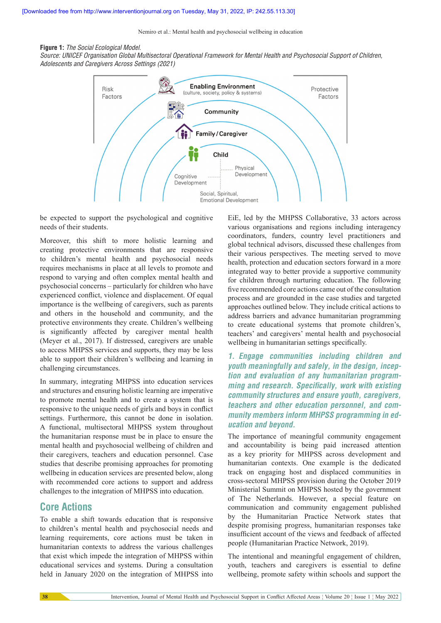Nemiro et al.: Mental health and psychosocial wellbeing in education

#### **Figure 1:** The Social Ecological Model.

Source: *UNICEF* Organisation Global Multisectoral Operational Framework for Mental Health and Psychosocial Support of Children, Adolescents and Caregivers Across Settings (2021)



be expected to support the psychological and cognitive needs of their students.

Moreover, this shift to more holistic learning and creating protective environments that are responsive to children's mental health and psychosocial needs requires mechanisms in place at all levels to promote and respond to varying and often complex mental health and psychosocial concerns – particularly for children who have experienced conflict, violence and displacement. Of equal importance is the wellbeing of caregivers, such as parents and others in the household and community, and the protective environments they create. Children's wellbeing is significantly affected by caregiver mental health (Meyer et al., 2017). If distressed, caregivers are unable to access MHPSS services and supports, they may be less able to support their children's wellbeing and learning in challenging circumstances.

In summary, integrating MHPSS into education services and structures and ensuring holistic learning are imperative to promote mental health and to create a system that is responsive to the unique needs of girls and boys in conflict settings. Furthermore, this cannot be done in isolation. A functional, multisectoral MHPSS system throughout the humanitarian response must be in place to ensure the mental health and psychosocial wellbeing of children and their caregivers, teachers and education personnel. Case studies that describe promising approaches for promoting wellbeing in education services are presented below, along with recommended core actions to support and address challenges to the integration of MHPSS into education.

# **Core Actions**

To enable a shift towards education that is responsive to children's mental health and psychosocial needs and learning requirements, core actions must be taken in humanitarian contexts to address the various challenges that exist which impede the integration of MHPSS within educational services and systems. During a consultation held in January 2020 on the integration of MHPSS into

EiE, led by the MHPSS Collaborative, 33 actors across various organisations and regions including interagency coordinators, funders, country level practitioners and global technical advisors, discussed these challenges from their various perspectives. The meeting served to move health, protection and education sectors forward in a more integrated way to better provide a supportive community for children through nurturing education. The following five recommended core actions came out of the consultation process and are grounded in the case studies and targeted approaches outlined below. They include critical actions to address barriers and advance humanitarian programming to create educational systems that promote children's, teachers' and caregivers' mental health and psychosocial wellbeing in humanitarian settings specifically.

**1. Engage communities including children and youth meaningfully and safely, in the design, inception and evaluation of any humanitarian programming and research. Specifically, work with existing community structures and ensure youth, caregivers, teachers and other education personnel, and community members inform MHPSS programming in education and beyond.**

The importance of meaningful community engagement and accountability is being paid increased attention as a key priority for MHPSS across development and humanitarian contexts. One example is the dedicated track on engaging host and displaced communities in cross-sectoral MHPSS provision during the October 2019 Ministerial Summit on MHPSS hosted by the government of The Netherlands. However, a special feature on communication and community engagement published by the Humanitarian Practice Network states that despite promising progress, humanitarian responses take insufficient account of the views and feedback of affected people (Humanitarian Practice Network, 2019).

The intentional and meaningful engagement of children, youth, teachers and caregivers is essential to define wellbeing, promote safety within schools and support the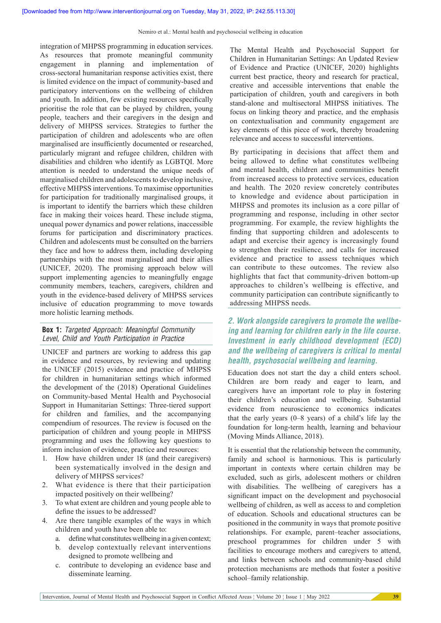integration of MHPSS programming in education services. As resources that promote meaningful community engagement in planning and implementation of cross-sectoral humanitarian response activities exist, there is limited evidence on the impact of community-based and participatory interventions on the wellbeing of children and youth. In addition, few existing resources specifically prioritise the role that can be played by children, young people, teachers and their caregivers in the design and delivery of MHPSS services. Strategies to further the participation of children and adolescents who are often marginalised are insufficiently documented or researched, particularly migrant and refugee children, children with disabilities and children who identify as LGBTQI. More attention is needed to understand the unique needs of marginalised children and adolescents to develop inclusive, effective MHPSS interventions. To maximise opportunities for participation for traditionally marginalised groups, it is important to identify the barriers which these children face in making their voices heard. These include stigma, unequal power dynamics and power relations, inaccessible forums for participation and discriminatory practices. Children and adolescents must be consulted on the barriers they face and how to address them, including developing partnerships with the most marginalised and their allies (UNICEF, 2020). The promising approach below will support implementing agencies to meaningfully engage community members, teachers, caregivers, children and youth in the evidence-based delivery of MHPSS services inclusive of education programming to move towards more holistic learning methods.

### **Box 1:** Targeted Approach: Meaningful Community Level, Child and Youth Participation in Practice

UNICEF and partners are working to address this gap in evidence and resources, by reviewing and updating the UNICEF (2015) evidence and practice of MHPSS for children in humanitarian settings which informed the development of the (2018) Operational Guidelines on Community-based Mental Health and Psychosocial Support in Humanitarian Settings: Three-tiered support for children and families, and the accompanying compendium of resources. The review is focused on the participation of children and young people in MHPSS programming and uses the following key questions to inform inclusion of evidence, practice and resources:

- 1. How have children under 18 (and their caregivers) been systematically involved in the design and delivery of MHPSS services?
- 2. What evidence is there that their participation impacted positively on their wellbeing?
- 3. To what extent are children and young people able to define the issues to be addressed?
- 4. Are there tangible examples of the ways in which children and youth have been able to:
	- a. define what constitutes wellbeing in a given context;
	- b. develop contextually relevant interventions designed to promote wellbeing and
	- c. contribute to developing an evidence base and disseminate learning.

The Mental Health and Psychosocial Support for Children in Humanitarian Settings: An Updated Review of Evidence and Practice (UNICEF, 2020) highlights current best practice, theory and research for practical, creative and accessible interventions that enable the participation of children, youth and caregivers in both stand-alone and multisectoral MHPSS initiatives. The focus on linking theory and practice, and the emphasis on contextualisation and community engagement are key elements of this piece of work, thereby broadening relevance and access to successful interventions.

By participating in decisions that affect them and being allowed to define what constitutes wellbeing and mental health, children and communities benefit from increased access to protective services, education and health. The 2020 review concretely contributes to knowledge and evidence about participation in MHPSS and promotes its inclusion as a core pillar of programming and response, including in other sector programming. For example, the review highlights the finding that supporting children and adolescents to adapt and exercise their agency is increasingly found to strengthen their resilience, and calls for increased evidence and practice to assess techniques which can contribute to these outcomes. The review also highlights that fact that community-driven bottom-up approaches to children's wellbeing is effective, and community participation can contribute significantly to addressing MHPSS needs.

# **2. Work alongside caregivers to promote the wellbeing and learning for children early in the life course. Investment in early childhood development (ECD) and the wellbeing of caregivers is critical to mental health, psychosocial wellbeing and learning.**

Education does not start the day a child enters school. Children are born ready and eager to learn, and caregivers have an important role to play in fostering their children's education and wellbeing. Substantial evidence from neuroscience to economics indicates that the early years (0–8 years) of a child's life lay the foundation for long-term health, learning and behaviour (Moving Minds Alliance, 2018).

It is essential that the relationship between the community, family and school is harmonious. This is particularly important in contexts where certain children may be excluded, such as girls, adolescent mothers or children with disabilities. The wellbeing of caregivers has a significant impact on the development and psychosocial wellbeing of children, as well as access to and completion of education. Schools and educational structures can be positioned in the community in ways that promote positive relationships. For example, parent–teacher associations, preschool programmes for children under 5 with facilities to encourage mothers and caregivers to attend, and links between schools and community-based child protection mechanisms are methods that foster a positive school–family relationship.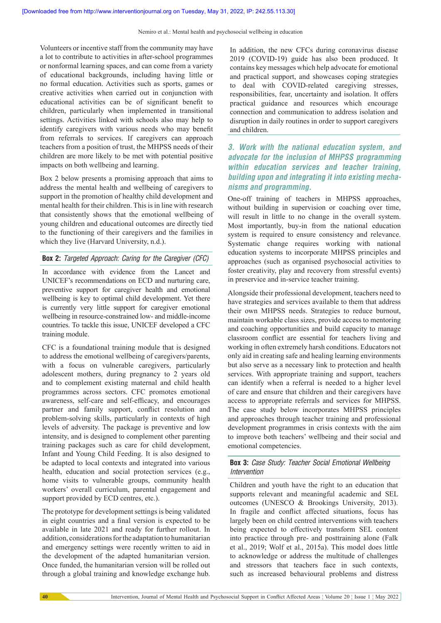Volunteers or incentive staff from the community may have a lot to contribute to activities in after-school programmes or nonformal learning spaces, and can come from a variety of educational backgrounds, including having little or no formal education. Activities such as sports, games or creative activities when carried out in conjunction with educational activities can be of significant benefit to children, particularly when implemented in transitional settings. Activities linked with schools also may help to identify caregivers with various needs who may benefit from referrals to services. If caregivers can approach teachers from a position of trust, the MHPSS needs of their children are more likely to be met with potential positive impacts on both wellbeing and learning.

Box 2 below presents a promising approach that aims to address the mental health and wellbeing of caregivers to support in the promotion of healthy child development and mental health for their children. This is in line with research that consistently shows that the emotional wellbeing of young children and educational outcomes are directly tied to the functioning of their caregivers and the families in which they live (Harvard University, n.d.).

## **Box 2:** Targeted Approach: Caring for the Caregiver (CFC)

In accordance with evidence from the Lancet and UNICEF's recommendations on ECD and nurturing care, preventive support for caregiver health and emotional wellbeing is key to optimal child development. Yet there is currently very little support for caregiver emotional wellbeing in resource-constrained low- and middle-income countries. To tackle this issue, UNICEF developed a CFC training module.

CFC is a foundational training module that is designed to address the emotional wellbeing of caregivers/parents, with a focus on vulnerable caregivers, particularly adolescent mothers, during pregnancy to 2 years old and to complement existing maternal and child health programmes across sectors. CFC promotes emotional awareness, self-care and self-efficacy, and encourages partner and family support, conflict resolution and problem-solving skills, particularly in contexts of high levels of adversity. The package is preventive and low intensity, and is designed to complement other parenting training packages such as care for child development, Infant and Young Child Feeding. It is also designed to be adapted to local contexts and integrated into various health, education and social protection services (e.g., home visits to vulnerable groups, community health workers' overall curriculum, parental engagement and support provided by ECD centres, etc.).

The prototype for development settings is being validated in eight countries and a final version is expected to be available in late 2021 and ready for further rollout. In addition, considerations for the adaptation to humanitarian and emergency settings were recently written to aid in the development of the adapted humanitarian version. Once funded, the humanitarian version will be rolled out through a global training and knowledge exchange hub. In addition, the new CFCs during coronavirus disease 2019 (COVID-19) guide has also been produced. It contains key messages which help advocate for emotional and practical support, and showcases coping strategies to deal with COVID-related caregiving stresses, responsibilities, fear, uncertainty and isolation. It offers practical guidance and resources which encourage connection and communication to address isolation and disruption in daily routines in order to support caregivers and children.

# **3. Work with the national education system, and advocate for the inclusion of MHPSS programming within education services and teacher training, building upon and integrating it into existing mechanisms and programming.**

One-off training of teachers in MHPSS approaches, without building in supervision or coaching over time, will result in little to no change in the overall system. Most importantly, buy-in from the national education system is required to ensure consistency and relevance. Systematic change requires working with national education systems to incorporate MHPSS principles and approaches (such as organised psychosocial activities to foster creativity, play and recovery from stressful events) in preservice and in-service teacher training.

Alongside their professional development, teachers need to have strategies and services available to them that address their own MHPSS needs. Strategies to reduce burnout, maintain workable class sizes, provide access to mentoring and coaching opportunities and build capacity to manage classroom conflict are essential for teachers living and working in often extremely harsh conditions. Educators not only aid in creating safe and healing learning environments but also serve as a necessary link to protection and health services. With appropriate training and support, teachers can identify when a referral is needed to a higher level of care and ensure that children and their caregivers have access to appropriate referrals and services for MHPSS. The case study below incorporates MHPSS principles and approaches through teacher training and professional development programmes in crisis contexts with the aim to improve both teachers' wellbeing and their social and emotional competencies.

#### **Box 3:** Case Study: Teacher Social Emotional Wellbeing *Intervention*

Children and youth have the right to an education that supports relevant and meaningful academic and SEL outcomes (UNESCO & Brookings University, 2013). In fragile and conflict affected situations, focus has largely been on child centred interventions with teachers being expected to effectively transform SEL content into practice through pre- and posttraining alone (Falk et al., 2019; Wolf et al., 2015a). This model does little to acknowledge or address the multitude of challenges and stressors that teachers face in such contexts, such as increased behavioural problems and distress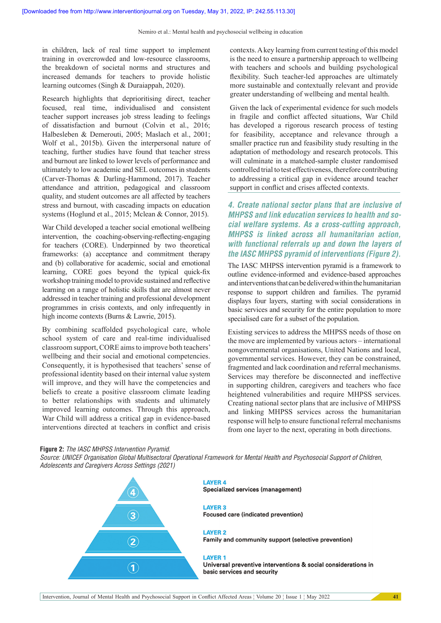in children, lack of real time support to implement training in overcrowded and low-resource classrooms, the breakdown of societal norms and structures and increased demands for teachers to provide holistic learning outcomes (Singh & Duraiappah, 2020).

Research highlights that deprioritising direct, teacher focused, real time, individualised and consistent teacher support increases job stress leading to feelings of dissatisfaction and burnout (Colvin et al., 2016; Halbesleben & Demerouti, 2005; Maslach et al., 2001; Wolf et al., 2015b). Given the interpersonal nature of teaching, further studies have found that teacher stress and burnout are linked to lower levels of performance and ultimately to low academic and SEL outcomes in students (Carver-Thomas & Darling-Hammond, 2017). Teacher attendance and attrition, pedagogical and classroom quality, and student outcomes are all affected by teachers stress and burnout, with cascading impacts on education systems (Hoglund et al., 2015; Mclean & Connor, 2015).

War Child developed a teacher social emotional wellbeing intervention, the coaching-observing-reflecting-engaging for teachers (CORE). Underpinned by two theoretical frameworks: (a) acceptance and commitment therapy and (b) collaborative for academic, social and emotional learning, CORE goes beyond the typical quick-fix workshop training model to provide sustained and reflective learning on a range of holistic skills that are almost never addressed in teacher training and professional development programmes in crisis contexts, and only infrequently in high income contexts (Burns & Lawrie, 2015).

By combining scaffolded psychological care, whole school system of care and real-time individualised classroom support, CORE aims to improve both teachers' wellbeing and their social and emotional competencies. Consequently, it is hypothesised that teachers' sense of professional identity based on their internal value system will improve, and they will have the competencies and beliefs to create a positive classroom climate leading to better relationships with students and ultimately improved learning outcomes. Through this approach, War Child will address a critical gap in evidence-based interventions directed at teachers in conflict and crisis

contexts. A key learning from current testing of this model is the need to ensure a partnership approach to wellbeing with teachers and schools and building psychological flexibility. Such teacher-led approaches are ultimately more sustainable and contextually relevant and provide greater understanding of wellbeing and mental health.

Given the lack of experimental evidence for such models in fragile and conflict affected situations, War Child has developed a rigorous research process of testing for feasibility, acceptance and relevance through a smaller practice run and feasibility study resulting in the adaptation of methodology and research protocols. This will culminate in a matched-sample cluster randomised controlled trial to test effectiveness, therefore contributing to addressing a critical gap in evidence around teacher support in conflict and crises affected contexts.

**4. Create national sector plans that are inclusive of MHPSS and link education services to health and social welfare systems. As a cross-cutting approach, MHPSS is linked across all humanitarian action, with functional referrals up and down the layers of the IASC MHPSS pyramid of interventions (Figure 2).**

The IASC MHPSS intervention pyramid is a framework to outline evidence-informed and evidence-based approaches and interventions that can be delivered within the humanitarian response to support children and families. The pyramid displays four layers, starting with social considerations in basic services and security for the entire population to more specialised care for a subset of the population.

Existing services to address the MHPSS needs of those on the move are implemented by various actors – international nongovernmental organisations, United Nations and local, governmental services. However, they can be constrained, fragmented and lack coordination and referral mechanisms. Services may therefore be disconnected and ineffective in supporting children, caregivers and teachers who face heightened vulnerabilities and require MHPSS services. Creating national sector plans that are inclusive of MHPSS and linking MHPSS services across the humanitarian response will help to ensure functional referral mechanisms from one layer to the next, operating in both directions.

#### **Figure 2:** The IASC MHPSS Intervention Pyramid.

Source: UNICEF Organisation Global Multisectoral Operational Framework for Mental Health and Psychosocial Support of Children, Adolescents and Caregivers Across Settings (2021)

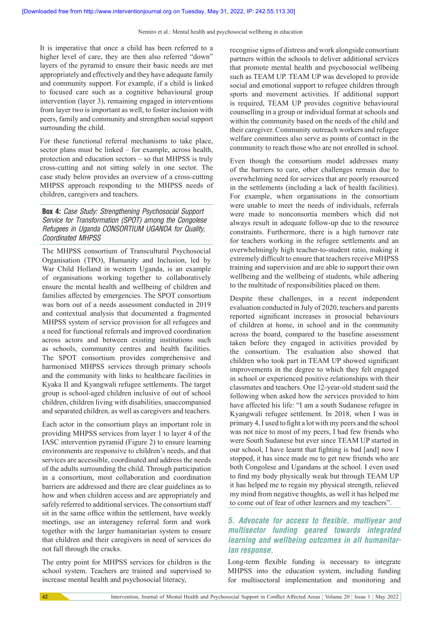It is imperative that once a child has been referred to a higher level of care, they are then also referred "down" layers of the pyramid to ensure their basic needs are met appropriately and effectively and they have adequate family and community support. For example, if a child is linked to focused care such as a cognitive behavioural group intervention (layer 3), remaining engaged in interventions from layer two is important as well, to foster inclusion with peers, family and community and strengthen social support surrounding the child.

For these functional referral mechanisms to take place, sector plans must be linked – for example, across health, protection and education sectors – so that MHPSS is truly cross-cutting and not sitting solely in one sector. The case study below provides an overview of a cross-cutting MHPSS approach responding to the MHPSS needs of children, caregivers and teachers.

### **Box 4:** Case Study: Strengthening Psychosocial Support Service for Transformation (SPOT) among the Congolese Refugees in Uganda CONSORTIUM UGANDA for Quality, Coordinated MHPSS

The MHPSS consortium of Transcultural Psychosocial Organisation (TPO), Humanity and Inclusion, led by War Child Holland in western Uganda, is an example of organisations working together to collaboratively ensure the mental health and wellbeing of children and families affected by emergencies. The SPOT consortium was born out of a needs assessment conducted in 2019 and contextual analysis that documented a fragmented MHPSS system of service provision for all refugees and a need for functional referrals and improved coordination across actors and between existing institutions such as schools, community centres and health facilities. The SPOT consortium provides comprehensive and harmonised MHPSS services through primary schools and the community with links to healthcare facilities in Kyaka II and Kyangwali refugee settlements. The target group is school-aged children inclusive of out of school children, children living with disabilities, unaccompanied and separated children, as well as caregivers and teachers.

Each actor in the consortium plays an important role in providing MHPSS services from layer 1 to layer 4 of the IASC intervention pyramid (Figure 2) to ensure learning environments are responsive to children's needs, and that services are accessible, coordinated and address the needs of the adults surrounding the child. Through participation in a consortium, most collaboration and coordination barriers are addressed and there are clear guidelines as to how and when children access and are appropriately and safely referred to additional services. The consortium staff sit in the same office within the settlement, have weekly meetings, use an interagency referral form and work together with the larger humanitarian system to ensure that children and their caregivers in need of services do not fall through the cracks.

The entry point for MHPSS services for children is the school system. Teachers are trained and supervised to increase mental health and psychosocial literacy,

recognise signs of distress and work alongside consortium partners within the schools to deliver additional services that promote mental health and psychosocial wellbeing such as TEAM UP. TEAM UP was developed to provide social and emotional support to refugee children through sports and movement activities. If additional support is required, TEAM UP provides cognitive behavioural counselling in a group or individual format at schools and within the community based on the needs of the child and their caregiver. Community outreach workers and refugee welfare committees also serve as points of contact in the community to reach those who are not enrolled in school.

Even though the consortium model addresses many of the barriers to care, other challenges remain due to overwhelming need for services that are poorly resourced in the settlements (including a lack of health facilities). For example, when organisations in the consortium were unable to meet the needs of individuals, referrals were made to nonconsortia members which did not always result in adequate follow-up due to the resource constraints. Furthermore, there is a high turnover rate for teachers working in the refugee settlements and an overwhelmingly high teacher-to-student ratio, making it extremely difficult to ensure that teachers receive MHPSS training and supervision and are able to support their own wellbeing and the wellbeing of students, while adhering to the multitude of responsibilities placed on them.

Despite these challenges, in a recent independent evaluation conducted in July of 2020, teachers and parents reported significant increases in prosocial behaviours of children at home, in school and in the community across the board, compared to the baseline assessment taken before they engaged in activities provided by the consortium. The evaluation also showed that children who took part in TEAM UP showed significant improvements in the degree to which they felt engaged in school or experienced positive relationships with their classmates and teachers. One 12-year-old student said the following when asked how the services provided to him have affected his life: "I am a south Sudanese refugee in Kyangwali refugee settlement. In 2018, when I was in primary 4, I used to fight a lot with my peers and the school was not nice to most of my peers, I had few friends who were South Sudanese but ever since TEAM UP started in our school, I have learnt that fighting is bad [and] now I stopped, it has since made me to get new friends who are both Congolese and Ugandans at the school. I even used to find my body physically weak but through TEAM UP it has helped me to regain my physical strength, relieved my mind from negative thoughts, as well it has helped me to come out of fear of other learners and my teachers".

# **5. Advocate for access to flexible, multiyear and multisector funding geared towards integrated learning and wellbeing outcomes in all humanitarian response.**

Long-term flexible funding is necessary to integrate MHPSS into the education system, including funding for multisectoral implementation and monitoring and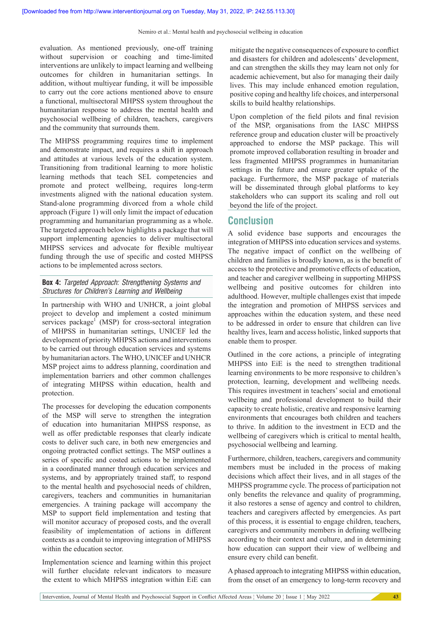evaluation. As mentioned previously, one-off training without supervision or coaching and time-limited interventions are unlikely to impact learning and wellbeing outcomes for children in humanitarian settings. In addition, without multiyear funding, it will be impossible to carry out the core actions mentioned above to ensure a functional, multisectoral MHPSS system throughout the humanitarian response to address the mental health and psychosocial wellbeing of children, teachers, caregivers and the community that surrounds them.

The MHPSS programming requires time to implement and demonstrate impact, and requires a shift in approach and attitudes at various levels of the education system. Transitioning from traditional learning to more holistic learning methods that teach SEL competencies and promote and protect wellbeing, requires long-term investments aligned with the national education system. Stand-alone programming divorced from a whole child approach (Figure 1) will only limit the impact of education programming and humanitarian programming as a whole. The targeted approach below highlights a package that will support implementing agencies to deliver multisectoral MHPSS services and advocate for flexible multiyear funding through the use of specific and costed MHPSS actions to be implemented across sectors.

## **Box 4:** Targeted Approach: Strengthening Systems and Structures for Children's Learning and Wellbeing

In partnership with WHO and UNHCR, a joint global project to develop and implement a costed minimum services package<sup>1</sup> (MSP) for cross-sectoral integration of MHPSS in humanitarian settings, UNICEF led the development of priority MHPSS actions and interventions to be carried out through education services and systems by humanitarian actors. The WHO, UNICEF and UNHCR MSP project aims to address planning, coordination and implementation barriers and other common challenges of integrating MHPSS within education, health and protection.

The processes for developing the education components of the MSP will serve to strengthen the integration of education into humanitarian MHPSS response, as well as offer predictable responses that clearly indicate costs to deliver such care, in both new emergencies and ongoing protracted conflict settings. The MSP outlines a series of specific and costed actions to be implemented in a coordinated manner through education services and systems, and by appropriately trained staff, to respond to the mental health and psychosocial needs of children, caregivers, teachers and communities in humanitarian emergencies. A training package will accompany the MSP to support field implementation and testing that will monitor accuracy of proposed costs, and the overall feasibility of implementation of actions in different contexts as a conduit to improving integration of MHPSS within the education sector.

Implementation science and learning within this project will further elucidate relevant indicators to measure the extent to which MHPSS integration within EiE can

mitigate the negative consequences of exposure to conflict and disasters for children and adolescents' development, and can strengthen the skills they may learn not only for academic achievement, but also for managing their daily lives. This may include enhanced emotion regulation, positive coping and healthy life choices, and interpersonal skills to build healthy relationships.

Upon completion of the field pilots and final revision of the MSP, organisations from the IASC MHPSS reference group and education cluster will be proactively approached to endorse the MSP package. This will promote improved collaboration resulting in broader and less fragmented MHPSS programmes in humanitarian settings in the future and ensure greater uptake of the package. Furthermore, the MSP package of materials will be disseminated through global platforms to key stakeholders who can support its scaling and roll out beyond the life of the project.

# **Conclusion**

A solid evidence base supports and encourages the integration of MHPSS into education services and systems. The negative impact of conflict on the wellbeing of children and families is broadly known, as is the benefit of access to the protective and promotive effects of education, and teacher and caregiver wellbeing in supporting MHPSS wellbeing and positive outcomes for children into adulthood. However, multiple challenges exist that impede the integration and promotion of MHPSS services and approaches within the education system, and these need to be addressed in order to ensure that children can live healthy lives, learn and access holistic, linked supports that enable them to prosper.

Outlined in the core actions, a principle of integrating MHPSS into EiE is the need to strengthen traditional learning environments to be more responsive to children's protection, learning, development and wellbeing needs. This requires investment in teachers' social and emotional wellbeing and professional development to build their capacity to create holistic, creative and responsive learning environments that encourages both children and teachers to thrive. In addition to the investment in ECD and the wellbeing of caregivers which is critical to mental health, psychosocial wellbeing and learning.

Furthermore, children, teachers, caregivers and community members must be included in the process of making decisions which affect their lives, and in all stages of the MHPSS programme cycle. The process of participation not only benefits the relevance and quality of programming, it also restores a sense of agency and control to children, teachers and caregivers affected by emergencies. As part of this process, it is essential to engage children, teachers, caregivers and community members in defining wellbeing according to their context and culture, and in determining how education can support their view of wellbeing and ensure every child can benefit.

A phased approach to integrating MHPSS within education, from the onset of an emergency to long-term recovery and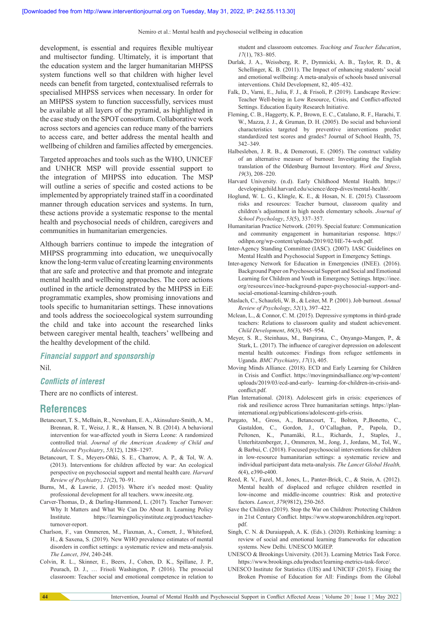Nemiro et al.: Mental health and psychosocial wellbeing in education

development, is essential and requires flexible multiyear and multisector funding. Ultimately, it is important that the education system and the larger humanitarian MHPSS system functions well so that children with higher level needs can benefit from targeted, contextualised referrals to specialised MHPSS services when necessary. In order for an MHPSS system to function successfully, services must be available at all layers of the pyramid, as highlighted in the case study on the SPOT consortium. Collaborative work across sectors and agencies can reduce many of the barriers to access care, and better address the mental health and wellbeing of children and families affected by emergencies.

Targeted approaches and tools such as the WHO, UNICEF and UNHCR MSP will provide essential support to the integration of MHPSS into education. The MSP will outline a series of specific and costed actions to be implemented by appropriately trained staff in a coordinated manner through education services and systems. In turn, these actions provide a systematic response to the mental health and psychosocial needs of children, caregivers and communities in humanitarian emergencies.

Although barriers continue to impede the integration of MHPSS programming into education, we unequivocally know the long-term value of creating learning environments that are safe and protective and that promote and integrate mental health and wellbeing approaches. The core actions outlined in the article demonstrated by the MHPSS in EiE programmatic examples, show promising innovations and tools specific to humanitarian settings. These innovations and tools address the socioecological system surrounding the child and take into account the researched links between caregiver mental health, teachers' wellbeing and the healthy development of the child.

## *Financial support and sponsorship* Nil.

#### **Conflicts of interest**

There are no conflicts of interest.

## **References**

- Betancourt, T. S., McBain, R., Newnham, E. A., Akinsulure-Smith, A. M., Brennan, R. T., Weisz, J. R., & Hansen, N. B. (2014). A behavioral intervention for war-affected youth in Sierra Leone: A randomized controlled trial. *Journal of the American Academy of Child and Adolescent Psychiatry*, *53*(12), 1288–1297.
- Betancourt, T. S., Meyers-Ohki, S. E., Charrow, A. P., & Tol, W. A. (2013). Interventions for children affected by war: An ecological perspective on psychosocial support and mental health care. *Harvard Review of Psychiatry*, *21*(2), 70–91.
- Burns, M., & Lawrie, J. (2015). Where it's needed most: Quality professional development for all teachers. www.ineesite.org.
- Carver-Thomas, D., & Darling-Hammond, L. (2017). Teacher Turnover: Why It Matters and What We Can Do About It. Learning Policy Institute. https://learningpolicyinstitute.org/product/teacherturnover-report.
- Charlson, F., van Ommeren, M., Flaxman, A., Cornett, J., Whiteford, H., & Saxena, S. (2019). New WHO prevalence estimates of mental disorders in conflict settings: a systematic review and meta-analysis. *The Lancet*, *394*, 240-248.
- Colvin, R. L., Skinner, E., Beers, J., Cohen, D. K., Spillane, J. P., Peurach, D. J., … Frisoli Washington, P. (2016). The prosocial classroom: Teacher social and emotional competence in relation to

student and classroom outcomes. *Teaching and Teacher Education*, *17*(1), 783–805.

- Durlak, J. A., Weissberg, R. P., Dymnicki, A. B., Taylor, R. D., & Schellinger, K. B. (2011). The Impact of enhancing students' social and emotional wellbeing: A meta-analysis of schools based universal interventions. Child Development, 82, 405–432.
- Falk, D., Varni, E., Julia, F. J., & Frisoli, P. (2019). Landscape Review: Teacher Well-being in Low Resource, Crisis, and Conflict-affected Settings. Education Equity Research Initiative.
- Fleming, C. B., Haggerty, K. P., Brown, E. C., Catalano, R. F., Harachi, T. W., Mazza, J. J., & Gruman, D. H. (2005). Do social and behavioral characteristics targeted by preventive interventions predict standardized test scores and grades? Journal of School Health, 75, 342–349.
- Halbesleben, J. R. B., & Demerouti, E. (2005). The construct validity of an alternative measure of burnout: Investigating the English translation of the Oldenburg Burnout Inventory. *Work and Stress*, *19*(3), 208–220.
- Harvard University. (n.d). Early Childhood Mental Health. https:// developingchild.harvard.edu/science/deep-dives/mental-health/.
- Hoglund, W. L. G., Klingle, K. E., & Hosan, N. E. (2015). Classroom risks and resources: Teacher burnout, classroom quality and children's adjustment in high needs elementary schools. *Journal of School Psychology*, *53*(5), 337–357.
- Humanitarian Practice Network. (2019). Special feature: Communication and community engagement in humanitarian response. https:// odihpn.org/wp-content/uploads/2019/02/HE-74-web.pdf.
- Inter-Agency Standing Committee (IASC). (2007). IASC Guidelines on Mental Health and Psychosocial Support in Emergency Settings.
- Inter-agency Network for Education in Emergencies (INEE). (2016). Background Paper on Psychosocial Support and Social and Emotional Learning for Children and Youth in Emergency Settings. https://inee. org/resources/inee-background-paper-psychosocial-support-andsocial-emotional-learning-children-youth.
- Maslach, C., Schaufeli, W. B., & Leiter, M. P. (2001). Job burnout. *Annual Review of Psychology*, *52*(1), 397–422.
- Mclean, L., & Connor, C. M. (2015). Depressive symptoms in third-grade teachers: Relations to classroom quality and student achievement. *Child Development*, *86*(3), 945–954.
- Meyer, S. R., Steinhaus, M., Bangirana, C., Onyango-Mangen, P., & Stark, L. (2017). The influence of caregiver depression on adolescent mental health outcomes: Findings from refugee settlements in Uganda. *BMC Psychiatry*, *17*(1), 405.
- Moving Minds Alliance. (2018). ECD and Early Learning for Children in Crisis and Conflict. https://movingmindsalliance.org/wp-content/ uploads/2019/03/ecd-and-early- learning-for-children-in-crisis-andconflict.pdf.
- Plan International. (2018). Adolescent girls in crisis: experiences of risk and resilience across Three humanitarian settings. https://planinternational.org/publications/adolescent-girls-crisis.
- Purgato, M., Gross, A., Betancourt, T., Bolton, P.,Bonetto, C., Gastaldon, C., Gordon, J., O'Callaghan, P., Papola, D., Peltonen, K., Punamäki, R.L., Richards, J., Staples, J., Unterhitzenberger, J., Ommeren, M., Jong, J., Jordans, M., Tol, W., & Barbui, C. (2018). Focused psychosocial interventions for children in low-resource humanitarian settings: a systematic review and individual participant data meta-analysis. *The Lancet Global Health, 6*(4), e390-e400.
- Reed, R. V., Fazel, M., Jones, L., Panter-Brick, C., & Stein, A. (2012). Mental health of displaced and refugee children resettled in low-income and middle-income countries: Risk and protective factors. *Lancet*, *379*(9812), 250-265.
- Save the Children (2019). Stop the War on Children: Protecting Children in 21st Century Conflict. https://www.stopwaronchildren.org/report. pdf.
- Singh, C. N. & Duraiappah, A. K. (Eds.). (2020). Rethinking learning: a review of social and emotional learning frameworks for education systems. New Delhi. UNESCO MGIEP.
- UNESCO & Brookings University. (2013). Learning Metrics Task Force. https://www.brookings.edu/product/learning-metrics-task-force/.
- UNESCO Institute for Statistics (UIS) and UNICEF (2015). Fixing the Broken Promise of Education for All: Findings from the Global